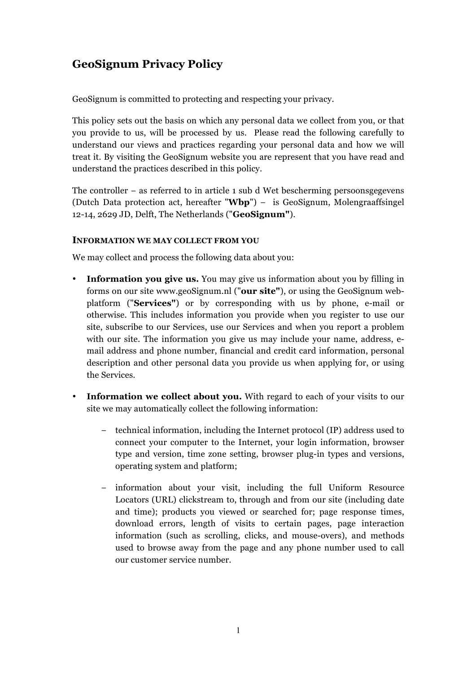# **GeoSignum Privacy Policy**

GeoSignum is committed to protecting and respecting your privacy.

This policy sets out the basis on which any personal data we collect from you, or that you provide to us, will be processed by us. Please read the following carefully to understand our views and practices regarding your personal data and how we will treat it. By visiting the GeoSignum website you are represent that you have read and understand the practices described in this policy.

The controller – as referred to in article 1 sub d Wet bescherming persoonsgegevens (Dutch Data protection act, hereafter "**Wbp**") − is GeoSignum, Molengraaffsingel 12-14, 2629 JD, Delft, The Netherlands ("**GeoSignum"**).

## **INFORMATION WE MAY COLLECT FROM YOU**

We may collect and process the following data about you:

- **Information you give us.** You may give us information about you by filling in forms on our site www.geoSignum.nl ("**our site"**), or using the GeoSignum webplatform ("**Services"**) or by corresponding with us by phone, e-mail or otherwise. This includes information you provide when you register to use our site, subscribe to our Services, use our Services and when you report a problem with our site. The information you give us may include your name, address, email address and phone number, financial and credit card information, personal description and other personal data you provide us when applying for, or using the Services.
- **Information we collect about you.** With regard to each of your visits to our site we may automatically collect the following information:
	- − technical information, including the Internet protocol (IP) address used to connect your computer to the Internet, your login information, browser type and version, time zone setting, browser plug-in types and versions, operating system and platform;
	- − information about your visit, including the full Uniform Resource Locators (URL) clickstream to, through and from our site (including date and time); products you viewed or searched for; page response times, download errors, length of visits to certain pages, page interaction information (such as scrolling, clicks, and mouse-overs), and methods used to browse away from the page and any phone number used to call our customer service number.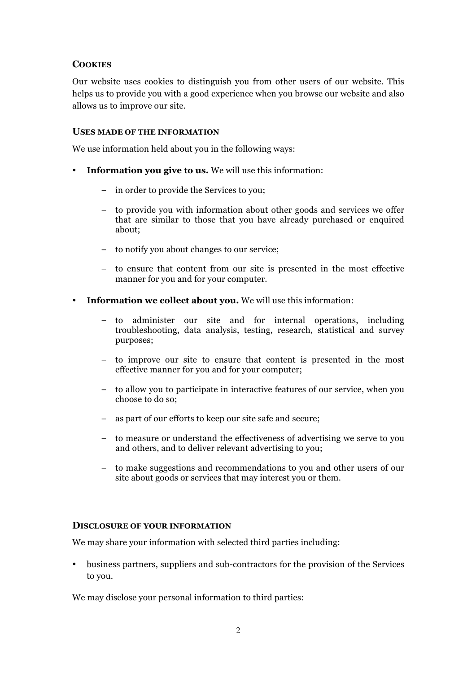## **COOKIES**

Our website uses cookies to distinguish you from other users of our website. This helps us to provide you with a good experience when you browse our website and also allows us to improve our site.

#### **USES MADE OF THE INFORMATION**

We use information held about you in the following ways:

- **Information you give to us.** We will use this information:
	- − in order to provide the Services to you;
	- − to provide you with information about other goods and services we offer that are similar to those that you have already purchased or enquired about;
	- − to notify you about changes to our service;
	- − to ensure that content from our site is presented in the most effective manner for you and for your computer.
- **Information we collect about you.** We will use this information:
	- − to administer our site and for internal operations, including troubleshooting, data analysis, testing, research, statistical and survey purposes;
	- − to improve our site to ensure that content is presented in the most effective manner for you and for your computer;
	- − to allow you to participate in interactive features of our service, when you choose to do so;
	- − as part of our efforts to keep our site safe and secure;
	- − to measure or understand the effectiveness of advertising we serve to you and others, and to deliver relevant advertising to you;
	- − to make suggestions and recommendations to you and other users of our site about goods or services that may interest you or them.

#### **DISCLOSURE OF YOUR INFORMATION**

We may share your information with selected third parties including:

• business partners, suppliers and sub-contractors for the provision of the Services to you.

We may disclose your personal information to third parties: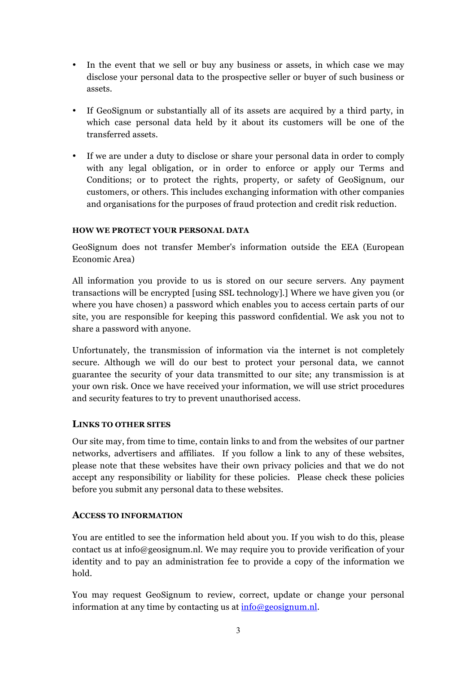- In the event that we sell or buy any business or assets, in which case we may disclose your personal data to the prospective seller or buyer of such business or assets.
- If GeoSignum or substantially all of its assets are acquired by a third party, in which case personal data held by it about its customers will be one of the transferred assets.
- If we are under a duty to disclose or share your personal data in order to comply with any legal obligation, or in order to enforce or apply our Terms and Conditions; or to protect the rights, property, or safety of GeoSignum, our customers, or others. This includes exchanging information with other companies and organisations for the purposes of fraud protection and credit risk reduction.

#### **HOW WE PROTECT YOUR PERSONAL DATA**

GeoSignum does not transfer Member's information outside the EEA (European Economic Area)

All information you provide to us is stored on our secure servers. Any payment transactions will be encrypted [using SSL technology].] Where we have given you (or where you have chosen) a password which enables you to access certain parts of our site, you are responsible for keeping this password confidential. We ask you not to share a password with anyone.

Unfortunately, the transmission of information via the internet is not completely secure. Although we will do our best to protect your personal data, we cannot guarantee the security of your data transmitted to our site; any transmission is at your own risk. Once we have received your information, we will use strict procedures and security features to try to prevent unauthorised access.

## **LINKS TO OTHER SITES**

Our site may, from time to time, contain links to and from the websites of our partner networks, advertisers and affiliates. If you follow a link to any of these websites, please note that these websites have their own privacy policies and that we do not accept any responsibility or liability for these policies. Please check these policies before you submit any personal data to these websites.

## **ACCESS TO INFORMATION**

You are entitled to see the information held about you. If you wish to do this, please contact us at info@geosignum.nl. We may require you to provide verification of your identity and to pay an administration fee to provide a copy of the information we hold.

You may request GeoSignum to review, correct, update or change your personal information at any time by contacting us at  $\frac{info@geosignum.nl}{}$ .